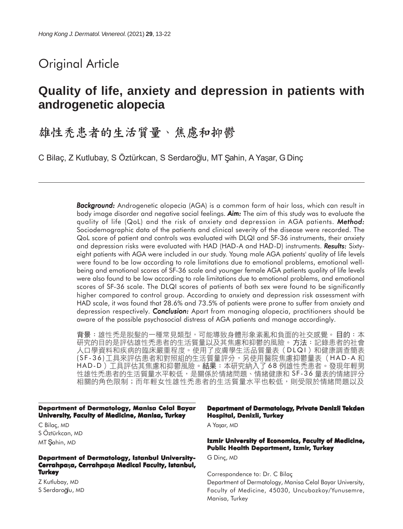# Original Article

# **Quality of life, anxiety and depression in patients with androgenetic alopecia**

# 雄性秃患者的生活質量、焦慮和抑鬱

C Bilaç, Z Kutlubay, S Öztürkcan, S Serdaroğlu, MT Şahin, A Yaşar, G Dinç

*Background: Background:* Androgenetic alopecia (AGA) is a common form of hair loss, which can result in body image disorder and negative social feelings. *Aim:* The aim of this study was to evaluate the quality of life (QoL) and the risk of anxiety and depression in AGA patients. *Method: Method:* Sociodemographic data of the patients and clinical severity of the disease were recorded. The QoL score of patient and controls was evaluated with DLQI and SF-36 instruments, their anxiety and depression risks were evaluated with HAD (HAD-A and HAD-D) instruments. **Results:** Sixtyeight patients with AGA were included in our study. Young male AGA patients' quality of life levels were found to be low according to role limitations due to emotional problems, emotional wellbeing and emotional scores of SF-36 scale and younger female AGA patients quality of life levels were also found to be low according to role limitations due to emotional problems, and emotional scores of SF-36 scale. The DLQI scores of patients of both sex were found to be significantly higher compared to control group. According to anxiety and depression risk assessment with HAD scale, it was found that 28.6% and 73.5% of patients were prone to suffer from anxiety and depression respectively. *Conclusion:* Apart from managing alopecia, practitioners should be aware of the possible psychosocial distress of AGA patients and manage accordingly.

背景:雄性禿是脱髮的一種常見類型,可能導致身體形象紊亂和負面的社交感覺。目的:本 研究的目的是評估雄性禿患者的生活質量以及其焦慮和抑鬱的風險。方法:記錄患者的社會 人口學資料和疾病的臨床嚴重程度。使用了皮膚學生活品質量表(DLQI)和健康調查簡表 (SF-36)工具來評估患者和對照組的生活質量評分,另使用醫院焦慮抑鬱量表(HAD-A 和 HAD-D)工具評估其焦慮和抑鬱風險。結果:本研究納入了68例雄性禿患者。發現年輕男 性雄性禿患者的生活質量水平較低,是關係於情緒問題、情緒健康和 SF-36 量表的情緒評分 相關的角色限制;而年輕女性雄性禿患者的生活質量水平也較低,則受限於情緒問題以及

**Department of Dermatology, Manisa Celal Bayar University, Faculty of Medicine, Manisa, Turkey**

C Bilaç, MD S Öztürkcan, MD MT Sahin, MD

#### **Department of Dermatology, Istanbul University-Cerrahpasa, Cerrahpasa Medical Faculty, Istanbul, Turkey**

Z Kutlubay, MD S Serdaroğlu, MD

#### **Department of Dermatology, Private Denizli Tekden Hospital, Denizli, Turkey**

A Yaşar, MD

#### **Izmir University of Economics, Faculty of Medicine, Public Health Department, Izmir, Turkey**

G Dinç, MD

Correspondence to: Dr. C Bilaç Department of Dermatology, Manisa Celal Bayar University, Faculty of Medicine, 45030, Uncubozkoy/Yunusemre, Manisa, Turkey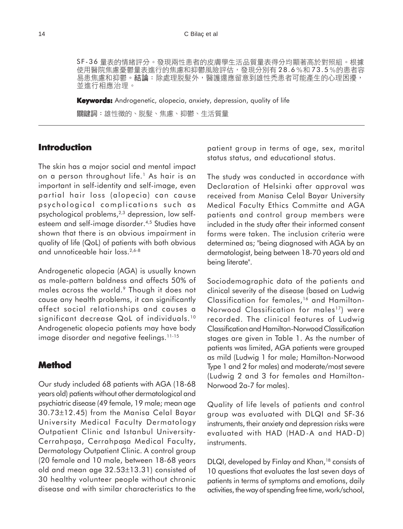SF-36 量表的情緒評分。發現兩性患者的皮膚學生活品質量表得分均顯著高於對照組。根據 使用醫院焦慮憂鬱量表進行的焦慮和抑鬱風險評估,發現分別有28.6%和73.5%的患者容 易患焦慮和抑鬱。結論:除處理脱髮外,醫護還應留意到雄性禿患者可能產生的心理困擾, 並進行相應治理。

**Keywords:** Androgenetic, alopecia, anxiety, depression, quality of life關鍵詞:雄性徵的、脱髮、焦慮、抑鬱、生活質量

### **Introduction**

The skin has a major social and mental impact on a person throughout life.<sup>1</sup> As hair is an important in self-identity and self-image, even partial hair loss (alopecia) can cause psychological complications such as psychological problems,<sup>2,3</sup> depression, low selfesteem and self-image disorder.4,5 Studies have shown that there is an obvious impairment in quality of life (QoL) of patients with both obvious and unnoticeable hair loss.2,6-8

Androgenetic alopecia (AGA) is usually known as male-pattern baldness and affects 50% of males across the world.9 Though it does not cause any health problems, it can significantly affect social relationships and causes a significant decrease QoL of individuals.<sup>10</sup> Androgenetic alopecia patients may have body image disorder and negative feelings.<sup>11-15</sup>

### **Method**

Our study included 68 patients with AGA (18-68 years old) patients without other dermatological and psychiatric disease (49 female, 19 male; mean age 30.73±12.45) from the Manisa Celal Bayar University Medical Faculty Dermatology Outpatient Clinic and Istanbul University-Cerrahpaşa, Cerrahpaşa Medical Faculty, Dermatology Outpatient Clinic. A control group (20 female and 10 male, between 18-68 years old and mean age 32.53±13.31) consisted of 30 healthy volunteer people without chronic disease and with similar characteristics to the

patient group in terms of age, sex, marital status status, and educational status.

The study was conducted in accordance with Declaration of Helsinki after approval was received from Manisa Celal Bayar University Medical Faculty Ethics Committe and AGA patients and control group members were included in the study after their informed consent forms were taken. The inclusion criteria were determined as; "being diagnosed with AGA by an dermatologist, being between 18-70 years old and being literate".

Sociodemographic data of the patients and clinical severity of the disease (based on Ludwig Classification for females,<sup>16</sup> and Hamilton-Norwood Classification for males<sup>17</sup>) were recorded. The clinical features of Ludwig Classification and Hamilton-Norwood Classification stages are given in Table 1. As the number of patients was limited, AGA patients were grouped as mild (Ludwig 1 for male; Hamilton-Norwood Type 1 and 2 for males) and moderate/most severe (Ludwig 2 and 3 for females and Hamilton-Norwood 2a-7 for males).

Quality of life levels of patients and control group was evaluated with DLQI and SF-36 instruments, their anxiety and depression risks were evaluated with HAD (HAD-A and HAD-D) instruments.

DLQI, developed by Finlay and Khan,<sup>18</sup> consists of 10 questions that evaluates the last seven days of patients in terms of symptoms and emotions, daily activities, the way of spending free time, work/school,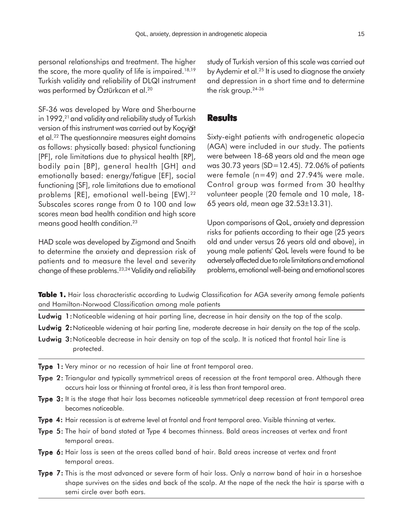personal relationships and treatment. The higher the score, the more quality of life is impaired.18,19 Turkish validity and reliability of DLQI instrument was performed by Öztürkcan et al.<sup>20</sup>

SF-36 was developed by Ware and Sherbourne in  $1992<sup>21</sup>$  and validity and reliability study of Turkish version of this instrument was carried out by Koçyiğit et al.22 The questionnaire measures eight domains as follows: physically based: physical functioning [PF], role limitations due to physical health [RP], bodily pain [BP], general health [GH] and emotionally based: energy/fatigue [EF], social functioning [SF], role limitations due to emotional problems [RE], emotional well-being [EW].<sup>22</sup> Subscales scores range from 0 to 100 and low scores mean bad health condition and high score means good health condition.<sup>23</sup>

HAD scale was developed by Zigmond and Snaith to determine the anxiety and depression risk of patients and to measure the level and severity change of these problems.23,24 Validity and reliability

study of Turkish version of this scale was carried out by Aydemir et al.<sup>25</sup> It is used to diagnose the anxiety and depression in a short time and to determine the risk group.24-26

### **Results**

Sixty-eight patients with androgenetic alopecia (AGA) were included in our study. The patients were between 18-68 years old and the mean age was 30.73 years (SD=12.45). 72.06% of patients were female (n=49) and 27.94% were male. Control group was formed from 30 healthy volunteer people (20 female and 10 male, 18- 65 years old, mean age 32.53±13.31).

Upon comparisons of QoL, anxiety and depression risks for patients according to their age (25 years old and under versus 26 years old and above), in young male patients' QoL levels were found to be adversely affected due to role limitations and emotional problems, emotional well-being and emotional scores

Table 1. Hair loss characteristic according to Ludwig Classification for AGA severity among female patients and Hamilton-Norwood Classification among male patients

- Ludwig 1: Noticeable widening at hair parting line, decrease in hair density on the top of the scalp.
- Ludwig 2: Noticeable widening at hair parting line, moderate decrease in hair density on the top of the scalp.
- Ludwig 3: Noticeable decrease in hair density on top of the scalp. It is noticed that frontal hair line is protected.
- Type 1: Very minor or no recession of hair line at front temporal area.
- Type 2: Triangular and typically symmetrical areas of recession at the front temporal area. Although there occurs hair loss or thinning at frontal area, it is less than front temporal area.
- Type 3: It is the stage that hair loss becomes noticeable symmetrical deep recession at front temporal area becomes noticeable.
- Type 4: Hair recession is at extreme level at frontal and front temporal area. Visible thinning at vertex.
- Type 5: The hair of band stated at Type 4 becomes thinness. Bald areas increases at vertex and front temporal areas.
- Type 6: Hair loss is seen at the areas called band of hair. Bald areas increase at vertex and front temporal areas.
- Type 7: This is the most advanced or severe form of hair loss. Only a narrow band of hair in a horseshoe shape survives on the sides and back of the scalp. At the nape of the neck the hair is sparse with a semi circle over both ears.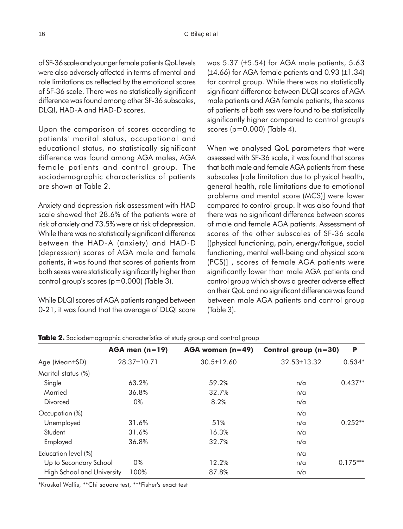of SF-36 scale and younger female patients QoL levels were also adversely affected in terms of mental and role limitations as reflected by the emotional scores of SF-36 scale. There was no statistically significant difference was found among other SF-36 subscales, DLQI, HAD-A and HAD-D scores.

Upon the comparison of scores according to patients' marital status, occupational and educational status, no statistically significant difference was found among AGA males, AGA female patients and control group. The sociodemographic characteristics of patients are shown at Table 2.

Anxiety and depression risk assessment with HAD scale showed that 28.6% of the patients were at risk of anxiety and 73.5% were at risk of depression. While there was no statistically significant difference between the HAD-A (anxiety) and HAD-D (depression) scores of AGA male and female patients, it was found that scores of patients from both sexes were statistically significantly higher than control group's scores (p=0.000) (Table 3).

While DLQI scores of AGA patients ranged between 0-21, it was found that the average of DLQI score was 5.37 (±5.54) for AGA male patients, 5.63  $(\pm 4.66)$  for AGA female patients and 0.93  $(\pm 1.34)$ for control group. While there was no statistically significant difference between DLQI scores of AGA male patients and AGA female patients, the scores of patients of both sex were found to be statistically significantly higher compared to control group's scores (p=0.000) (Table 4).

When we analysed QoL parameters that were assessed with SF-36 scale, it was found that scores that both male and female AGA patients from these subscales [role limitation due to physical health, general health, role limitations due to emotional problems and mental score (MCS)] were lower compared to control group. It was also found that there was no significant difference between scores of male and female AGA patients. Assessment of scores of the other subscales of SF-36 scale [(physical functioning, pain, energy/fatigue, social functioning, mental well-being and physical score (PCS)] , scores of female AGA patients were significantly lower than male AGA patients and control group which shows a greater adverse effect on their QoL and no significant difference was found between male AGA patients and control group (Table 3).

|                                   | $AGA$ men (n=19) | $AGA$ women (n=49) | Control group $(n=30)$ | P          |
|-----------------------------------|------------------|--------------------|------------------------|------------|
| Age (Mean±SD)                     | 28.37±10.71      | $30.5 \pm 12.60$   | 32.53±13.32            | $0.534*$   |
| Marital status (%)                |                  |                    |                        |            |
| Single                            | 63.2%            | 59.2%              | n/a                    | $0.437**$  |
| Married                           | 36.8%            | 32.7%              | n/a                    |            |
| Divorced                          | 0%               | 8.2%               | n/a                    |            |
| Occupation (%)                    |                  |                    | n/a                    |            |
| Unemployed                        | 31.6%            | 51%                | n/a                    | $0.252**$  |
| Student                           | 31.6%            | 16.3%              | n/a                    |            |
| Employed                          | 36.8%            | 32.7%              | n/a                    |            |
| Education level (%)               |                  |                    | n/a                    |            |
| Up to Secondary School            | 0%               | 12.2%              | n/a                    | $0.175***$ |
| <b>High School and University</b> | 100%             | 87.8%              | n/a                    |            |

**Table 2.** Sociodemographic characteristics of study group and control group

\*Kruskal Wallis, \*\*Chi square test, \*\*\*Fisher's exact test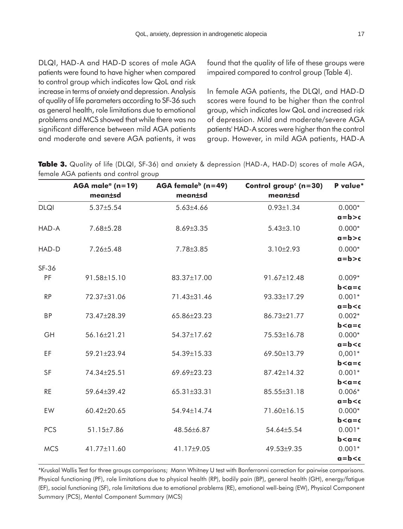DLQI, HAD-A and HAD-D scores of male AGA patients were found to have higher when compared to control group which indicates low QoL and risk increase in terms of anxiety and depression. Analysis of quality of life parameters according to SF-36 such as general health, role limitations due to emotional problems and MCS showed that while there was no significant difference between mild AGA patients and moderate and severe AGA patients, it was found that the quality of life of these groups were impaired compared to control group (Table 4).

In female AGA patients, the DLQI, and HAD-D scores were found to be higher than the control group, which indicates low QoL and increased risk of depression. Mild and moderate/severe AGA patients' HAD-A scores were higher than the control group. However, in mild AGA patients, HAD-A

|             | AGA male <sup><math>a</math></sup> (n=19) | AGA female $b$ (n=49) | Control group <sup>c</sup> (n=30) | P value*                |
|-------------|-------------------------------------------|-----------------------|-----------------------------------|-------------------------|
|             | meantsd                                   | mean±sd               | meantsd                           |                         |
| <b>DLQI</b> | $5.37 \pm 5.54$                           | $5.63{\pm}4.66$       | $0.93 \pm 1.34$                   | $0.000*$                |
|             |                                           |                       |                                   | $a = b > c$             |
| HAD-A       | 7.68±5.28                                 | 8.69±3.35             | $5.43 \pm 3.10$                   | $0.000*$                |
|             |                                           |                       |                                   | $a = b > c$             |
| HAD-D       | 7.26±5.48                                 | 7.78±3.85             | $3.10 \pm 2.93$                   | $0.000*$                |
|             |                                           |                       |                                   | $a = b > c$             |
| SF-36       |                                           |                       |                                   |                         |
| PF          | 91.58±15.10                               | 83.37±17.00           | 91.67±12.48                       | $0.009*$                |
|             |                                           |                       |                                   | $b < a = c$             |
| RP          | 72.37±31.06                               | 71.43±31.46           | 93.33±17.29                       | $0.001*$                |
|             |                                           |                       |                                   | $a = b < c$             |
| <b>BP</b>   | 73.47±28.39                               | 65.86±23.23           | 86.73±21.77                       | $0.002*$                |
| GH          |                                           | 54.37±17.62           | 75.53±16.78                       | $b < a = c$<br>$0.000*$ |
|             | 56.16±21.21                               |                       |                                   | $a = b < c$             |
| EF          | 59.21±23.94                               | 54.39±15.33           | 69.50±13.79                       | $0,001*$                |
|             |                                           |                       |                                   | $b < a = c$             |
| SF          | 74.34±25.51                               | 69.69±23.23           | 87.42±14.32                       | $0.001*$                |
|             |                                           |                       |                                   | $b < a = c$             |
| <b>RE</b>   | 59.64±39.42                               | 65.31±33.31           | 85.55±31.18                       | $0.006*$                |
|             |                                           |                       |                                   | $a = b < c$             |
| EW          | 60.42±20.65                               | 54.94±14.74           | 71.60±16.15                       | $0.000*$                |
|             |                                           |                       |                                   | $b < a = c$             |
| <b>PCS</b>  | 51.15±7.86                                | 48.56±6.87            | 54.64±5.54                        | $0.001*$                |
|             |                                           |                       |                                   | $b < a = c$             |
| <b>MCS</b>  | 41.77±11.60                               | 41.17±9.05            | 49.53±9.35                        | $0.001*$                |
|             |                                           |                       |                                   | $a = b < c$             |

**Table 3.** Quality of life (DLQI, SF-36) and anxiety & depression (HAD-A, HAD-D) scores of male AGA, female AGA patients and control group

\*Kruskal Wallis Test for three groups comparisons; Mann Whitney U test with Bonferronni correction for pairwise comparisons. Physical functioning (PF), role limitations due to physical health (RP), bodily pain (BP), general health (GH), energy/fatigue (EF), social functioning (SF), role limitations due to emotional problems (RE), emotional well-being (EW), Physical Component Summary (PCS), Mental Component Summary (MCS)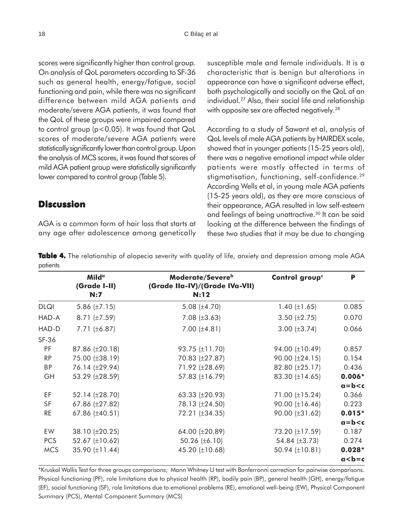scores were significantly higher than control group. On analysis of QoL parameters according to SF-36 such as general health, energy/fatigue, social functioning and pain, while there was no significant difference between mild AGA patients and moderate/severe AGA patients, it was found that the QoL of these groups were impaired compared to control group (p<0.05). It was found that QoL scores of moderate/severe AGA patients were statistically significantly lower than control group. Upon the analysis of MCS scores, it was found that scores of mild AGA patient group were statistically significantly lower compared to control group (Table 5).

## **Discussion**

AGA is a common form of hair loss that starts at any age after adolescence among genetically susceptible male and female individuals. It is a characteristic that is benign but alterations in appearance can have a significant adverse effect, both psychologically and socially on the QoL of an individual.27 Also, their social life and relationship with opposite sex are affected negatively.<sup>28</sup>

According to a study of Sawant et al, analysis of QoL levels of male AGA patients by HAIRDEX scale, showed that in younger patients (15-25 years old), there was a negative emotional impact while older patients were mostly affected in terms of stigmatisation, functioning, self-confidence.<sup>29</sup> According Wells et al, in young male AGA patients (15-25 years old), as they are more conscious of their appearance, AGA resulted in low self-esteem and feelings of being unattractive.<sup>30</sup> It can be said looking at the difference between the findings of these two studies that it may be due to changing

**Table 4.** The relationship of alopecia severity with quality of life, anxiety and depression among male AGA patients

|             | <b>Milda</b><br>(Grade I-II)<br>N:7 | Moderate/Severe <sup>b</sup><br>(Grade IIa-IV)/(Grade IVa-VII)<br>N:12 | Control group <sup>c</sup> | P           |
|-------------|-------------------------------------|------------------------------------------------------------------------|----------------------------|-------------|
| <b>DLQI</b> | 5.86 $(\pm 7.15)$                   | 5.08 $(\pm 4.70)$                                                      | 1.40 $(\pm 1.65)$          | 0.085       |
| HAD-A       | 8.71 $(\pm 7.59)$                   | 7.08 $(\pm 3.63)$                                                      | 3.50 $(\pm 2.75)$          | 0.070       |
| HAD-D       | 7.71 $(\pm 6.87)$                   | 7.00 $(\pm 4.81)$                                                      | 3.00 $(\pm 3.74)$          | 0.066       |
| SF-36       |                                     |                                                                        |                            |             |
| <b>PF</b>   | 87.86 (±20.18)                      | $93.75 \ (\pm 11.70)$                                                  | 94.00 (±10.49)             | 0.857       |
| <b>RP</b>   | 75.00 (±38.19)                      | 70.83 (±27.87)                                                         | $90.00 \ (\pm 24.15)$      | 0.154       |
| <b>BP</b>   | 76.14 (±29.94)                      | 71.92 (±28.69)                                                         | 82.80 (±25.17)             | 0.436       |
| GH          | 53.29 (±28.59)                      | 57.83 (±16.79)                                                         | 83.30 $(\pm 14.65)$        | $0.006*$    |
|             |                                     |                                                                        |                            | $a = b < c$ |
| EF          | 52.14 (±28.70)                      | 63.33 $(\pm 20.93)$                                                    | 71.00 $(\pm 15.24)$        | 0.366       |
| SF          | 67.86 (±27.82)                      | 78.13 (±24.50)                                                         | 90.00 $(\pm 16.46)$        | 0.223       |
| <b>RE</b>   | 67.86 (±40.51)                      | 72.21 (±34.35)                                                         | 90.00 (±31.62)             | $0.015*$    |
|             |                                     |                                                                        |                            | $a = b < c$ |
| EW          | 38.10 (±20.25)                      | 64.00 (±20.89)                                                         | 73.20 (±17.59)             | 0.187       |
| <b>PCS</b>  | 52.67 (±10.62)                      | 50.26 $(\pm 6.10)$                                                     | 54.84 $(\pm 3.73)$         | 0.274       |
| <b>MCS</b>  | 35.90 (±11.44)                      | 45.20 (±10.68)                                                         | 50.94 (±10.81)             | $0.028*$    |
|             |                                     |                                                                        |                            | $a < b = c$ |

\*Kruskal Wallis Test for three groups comparisons; Mann Whitney U test with Bonferronni correction for pairwise comparisons. Physical functioning (PF), role limitations due to physical health (RP), bodily pain (BP), general health (GH), energy/fatigue (EF), social functioning (SF), role limitations due to emotional problems (RE), emotional well-being (EW), Physical Component Summary (PCS), Mental Component Summary (MCS)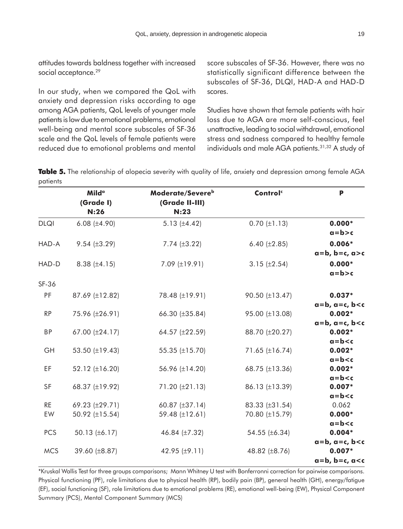attitudes towards baldness together with increased social acceptance.<sup>29</sup>

In our study, when we compared the QoL with anxiety and depression risks according to age among AGA patients, QoL levels of younger male patients is low due to emotional problems, emotional well-being and mental score subscales of SF-36 scale and the QoL levels of female patients were reduced due to emotional problems and mental score subscales of SF-36. However, there was no statistically significant difference between the subscales of SF-36, DLQI, HAD-A and HAD-D scores.

Studies have shown that female patients with hair loss due to AGA are more self-conscious, feel unattractive, leading to social withdrawal, emotional stress and sadness compared to healthy female individuals and male AGA patients.<sup>31,32</sup> A study of

**Table 5.** The relationship of alopecia severity with quality of life, anxiety and depression among female AGA patients

|                 | <b>Milda</b><br>(Grade I)<br>N:26 | Moderate/Severe <sup>b</sup><br>(Grade II-III)<br>N:23 | Control <sup>c</sup>             | P                                       |
|-----------------|-----------------------------------|--------------------------------------------------------|----------------------------------|-----------------------------------------|
| <b>DLQI</b>     | 6.08 $(\pm 4.90)$                 | 5.13 $(\pm 4.42)$                                      | $0.70 (\pm 1.13)$                | $0.000*$<br>$a = b > c$                 |
| HAD-A           | $9.54 \ (\pm 3.29)$               | 7.74 $(\pm 3.22)$                                      | 6.40 $(\pm 2.85)$                | $0.006*$<br>$a = b$ , $b = c$ , $a > c$ |
| HAD-D           | 8.38 $(\pm 4.15)$                 | 7.09 (±19.91)                                          | 3.15 $(\pm 2.54)$                | $0.000*$<br>$a = b > c$                 |
| SF-36           |                                   |                                                        |                                  |                                         |
| PF              | 87.69 (±12.82)                    | 78.48 (±19.91)                                         | 90.50 (±13.47)                   | $0.037*$<br>$a=b$ , $a=c$ , $b < c$     |
| <b>RP</b>       | 75.96 (±26.91)                    | 66.30 (±35.84)                                         | 95.00 (±13.08)                   | $0.002*$<br>$a=b$ , $a=c$ , $b < c$     |
| <b>BP</b>       | 67.00 (±24.17)                    | 64.57 (±22.59)                                         | 88.70 (±20.27)                   | $0.002*$<br>$a = b < c$                 |
| GH              | 53.50 (±19.43)                    | 55.35 (±15.70)                                         | 71.65 (±16.74)                   | $0.002*$<br>$a = b < c$                 |
| EF              | 52.12 (±16.20)                    | 56.96 (±14.20)                                         | 68.75 (±13.36)                   | $0.002*$<br>$a = b < c$                 |
| <b>SF</b>       | 68.37 (±19.92)                    | 71.20 (±21.13)                                         | 86.13 (±13.39)                   | $0.007*$<br>$a = b < c$                 |
| <b>RE</b><br>EW | 69.23 (±29.71)<br>50.92 (±15.54)  | 60.87 $(\pm 37.14)$<br>59.48 (±12.61)                  | 83.33 (±31.54)<br>70.80 (±15.79) | 0.062<br>$0.000*$                       |
| <b>PCS</b>      | 50.13 (±6.17)                     | 46.84 (±7.32)                                          | 54.55 (±6.34)                    | $a = b < c$<br>$0.004*$                 |
| <b>MCS</b>      | 39.60 (±8.87)                     | 42.95 $(\pm 9.11)$                                     | 48.82 (±8.76)                    | $a=b, a=c, b0.007*a = b, b = c, a < c$  |

\*Kruskal Wallis Test for three groups comparisons; Mann Whitney U test with Bonferronni correction for pairwise comparisons. Physical functioning (PF), role limitations due to physical health (RP), bodily pain (BP), general health (GH), energy/fatigue (EF), social functioning (SF), role limitations due to emotional problems (RE), emotional well-being (EW), Physical Component Summary (PCS), Mental Component Summary (MCS)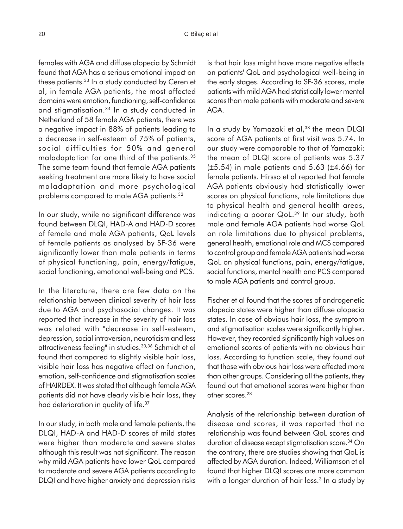females with AGA and diffuse alopecia by Schmidt found that AGA has a serious emotional impact on these patients.<sup>33</sup> In a study conducted by Ceren et al, in female AGA patients, the most affected domains were emotion, functioning, self-confidence and stigmatisation.34 In a study conducted in Netherland of 58 female AGA patients, there was a negative impact in 88% of patients leading to a decrease in self-esteem of 75% of patients, social difficulties for 50% and general maladaptation for one third of the patients.35 The same team found that female AGA patients seeking treatment are more likely to have social maladaptation and more psychological problems compared to male AGA patients.32

In our study, while no significant difference was found between DLQI, HAD-A and HAD-D scores of female and male AGA patients, QoL levels of female patients as analysed by SF-36 were significantly lower than male patients in terms of physical functioning, pain, energy/fatigue, social functioning, emotional well-being and PCS.

In the literature, there are few data on the relationship between clinical severity of hair loss due to AGA and psychosocial changes. It was reported that increase in the severity of hair loss was related with "decrease in self-esteem, depression, social introversion, neuroticism and less attractiveness feeling" in studies.30,36 Schmidt et al found that compared to slightly visible hair loss, visible hair loss has negative effect on function, emotion, self-confidence and stigmatisation scales of HAIRDEX. It was stated that although female AGA patients did not have clearly visible hair loss, they had deterioration in quality of life.<sup>37</sup>

In our study, in both male and female patients, the DLQI, HAD-A and HAD-D scores of mild states were higher than moderate and severe states although this result was not significant. The reason why mild AGA patients have lower QoL compared to moderate and severe AGA patients according to DLQI and have higher anxiety and depression risks is that hair loss might have more negative effects on patients' QoL and psychological well-being in the early stages. According to SF-36 scores, male patients with mild AGA had statistically lower mental scores than male patients with moderate and severe AGA.

In a study by Yamazaki et al,<sup>38</sup> the mean DLQI score of AGA patients at first visit was 5.74. In our study were comparable to that of Yamazaki: the mean of DLQI score of patients was 5.37  $(\pm 5.54)$  in male patients and 5.63 ( $\pm 4.66$ ) for female patients. Hirsso et al reported that female AGA patients obviously had statistically lower scores on physical functions, role limitations due to physical health and general health areas, indicating a poorer QoL.<sup>39</sup> In our study, both male and female AGA patients had worse QoL on role limitations due to physical problems, general health, emotional role and MCS compared to control group and female AGA patients had worse QoL on physical functions, pain, energy/fatigue, social functions, mental health and PCS compared to male AGA patients and control group.

Fischer et al found that the scores of androgenetic alopecia states were higher than diffuse alopecia states. In case of obvious hair loss, the symptom and stigmatisation scales were significantly higher. However, they recorded significantly high values on emotional scores of patients with no obvious hair loss. According to function scale, they found out that those with obvious hair loss were affected more than other groups. Considering all the patients, they found out that emotional scores were higher than other scores.28

Analysis of the relationship between duration of disease and scores, it was reported that no relationship was found between QoL scores and duration of disease except stigmatisation score.<sup>34</sup> On the contrary, there are studies showing that QoL is affected by AGA duration. Indeed, Williamson et al found that higher DLQI scores are more common with a longer duration of hair loss.<sup>3</sup> In a study by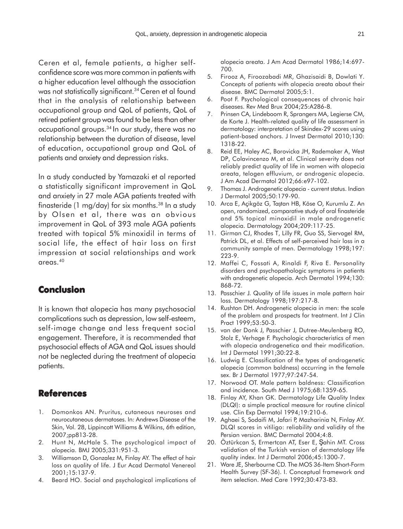Ceren et al, female patients, a higher selfconfidence score was more common in patients with a higher education level although the association was not statistically significant.<sup>34</sup> Ceren et al found that in the analysis of relationship between occupational group and QoL of patients, QoL of retired patient group was found to be less than other occupational groups.34 In our study, there was no relationship between the duration of disease, level of education, occupational group and QoL of patients and anxiety and depression risks.

In a study conducted by Yamazaki et al reported a statistically significant improvement in QoL and anxiety in 27 male AGA patients treated with finasteride (1 mg/day) for six months.38 In a study by Olsen et al, there was an obvious improvement in QoL of 393 male AGA patients treated with topical 5% minoxidil in terms of social life, the effect of hair loss on first impression at social relationships and work areas.40

## **Conclusion**

It is known that alopecia has many psychosocial complications such as depression, low self-esteem, self-image change and less frequent social engagement. Therefore, it is recommended that psychosocial effects of AGA and QoL issues should not be neglected during the treatment of alopecia patients.

## **References**

- 1. Domonkos AN. Pruritus, cutaneous neuroses and neurocutaneous dermatoses. In: Andrews Disease of the Skin, Vol. 28, Lippincott Williams & Wilkins, 6th edition, 2007;pp813-28.
- 2. Hunt N, McHale S. The psychological impact of alopecia. BMJ 2005;331:951-3.
- 3. Williamson D, Gonzalez M, Finlay AY. The effect of hair loss on quality of life. J Eur Acad Dermatol Venereol 2001;15:137-9.
- 4. Beard HO. Social and psychological implications of

alopecia areata. J Am Acad Dermatol 1986;14:697- 700.

- 5. Firooz A, Firoozabadi MR, Ghazisaidi B, Dowlati Y. Concepts of patients with alopecia areata about their disease. BMC Dermatol 2005;5:1.
- 6. Poot F. Psychological consequences of chronic hair diseases. Rev Med Brux 2004;25:A286-8.
- 7. Prinsen CA, Lindeboom R, Sprangers MA, Legierse CM, de Korte J. Health-related quality of life assessment in dermatology: interpretation of Skindex-29 scores using patient-based anchors. J Invest Dermatol 2010;130: 1318-22.
- 8. Reid EE, Haley AC, Borovicka JH, Rademaker A, West DP, Colavincenzo M, et al. Clinical severity does not reliably predict quality of life in women with alopecia areata, telogen effluvium, or androgenic alopecia. J Am Acad Dermatol 2012;66:e97-102.
- 9. Thomas J. Androgenetic alopecia current status. Indian J Dermatol 2005;50:179-90.
- 10. Arca E, Açikgöz G, Taştan HB, Köse O, Kurumlu Z. An open, randomized, comparative study of oral finasteride and 5% topical minoxidil in male androgenetic alopecia. Dermatology 2004;209:117-25.
- 11. Girman CJ, Rhodes T, Lilly FR, Guo SS, Siervogel RM, Patrick DL, et al. Effects of self-perceived hair loss in a community sample of men. Dermatology 1998;197: 223-9.
- 12. Maffei C, Fossati A, Rinaldi F, Riva E. Personality disorders and psychopathologic symptoms in patients with androgenetic alopecia. Arch Dermatol 1994;130: 868-72.
- 13. Passchier J. Quality of life issues in male pattern hair loss. Dermatology 1998;197:217-8.
- 14. Rushton DH. Androgenetic alopecia in men: the scale of the problem and prospects for treatment. Int J Clin Pract 1999;53:50-3.
- 15. van der Donk J, Passchier J, Dutree-Meulenberg RO, Stolz E, Verhage F. Psychologic characteristics of men with alopecia androgenetica and their modification. Int J Dermatol 1991;30:22-8.
- 16. Ludwig E. Classification of the types of androgenetic alopecia (common baldness) occurring in the female sex. Br J Dermatol 1977;97:247-54.
- 17. Norwood OT. Male pattern baldness: Classification and incidence. South Med J 1975;68:1359-65.
- 18. Finlay AY, Khan GK. Dermatology Life Quality Index (DLQI): a simple practical measure for routine clinical use. Clin Exp Dermatol 1994;19:210-6.
- 19. Aghaei S, Sodaifi M, Jafari P, Mazharinia N, Finlay AY. DLQI scores in vitiligo: reliability and validity of the Persian version. BMC Dermatol 2004;4:8.
- 20. Öztürkcan S, Ermertcan AT, Eser E, Şahin MT. Cross validation of the Turkish version of dermatology life quality index. Int J Dermatol 2006;45:1300-7.
- 21. Ware JE, Sherbourne CD. The MOS 36-Item Short-Form Health Survey (SF-36). I. Conceptual framework and item selection. Med Care 1992;30:473-83.